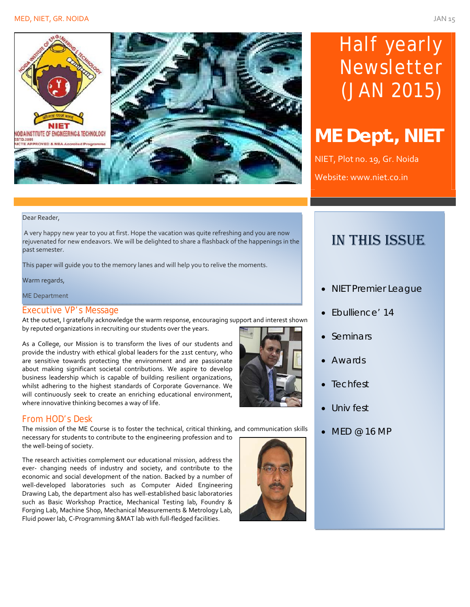

# Half yearly Newsletter (JAN 2015)

# **ME Dept., NIET**

NIET, Plot no. 19, Gr. Noida Website: www.niet.co.in

#### Dear Reader,

A very happy new year to you at first. Hope the vacation was quite refreshing and you are now rejuvenated for new endeavors. We will be delighted to share a flashback of the happenings in the past semester.

This paper will guide you to the memory lanes and will help you to relive the moments.

Warm regards,

ME Department

#### Executive VP's Message

At the outset, I gratefully acknowledge the warm response, encouraging support and interest shown by reputed organizations in recruiting our students over the years.

As a College, our Mission is to transform the lives of our students and provide the industry with ethical global leaders for the 21st century, who are sensitive towards protecting the environment and are passionate about making significant societal contributions. We aspire to develop business leadership which is capable of building resilient organizations, whilst adhering to the highest standards of Corporate Governance. We will continuously seek to create an enriching educational environment, where innovative thinking becomes a way of life.



#### From HOD's Desk

The mission of the ME Course is to foster the technical, critical thinking, and communication skills necessary for students to contribute to the engineering profession and to the well‐being of society.

The research activities complement our educational mission, address the ever- changing needs of industry and society, and contribute to the economic and social development of the nation. Backed by a number of well-developed laboratories such as Computer Aided Engineering Drawing Lab, the department also has well‐established basic laboratories such as Basic Workshop Practice, Mechanical Testing lab, Foundry & Forging Lab, Machine Shop, Mechanical Measurements & Metrology Lab, Fluid power lab, C‐Programming &MAT lab with full‐fledged facilities.



### IN THIS ISSUE

- NIET Premier League
- Ebullience' 14
- Seminars
- Awards
- **Techfest**
- Univ fest
- $\bullet$  MED @ 16 MP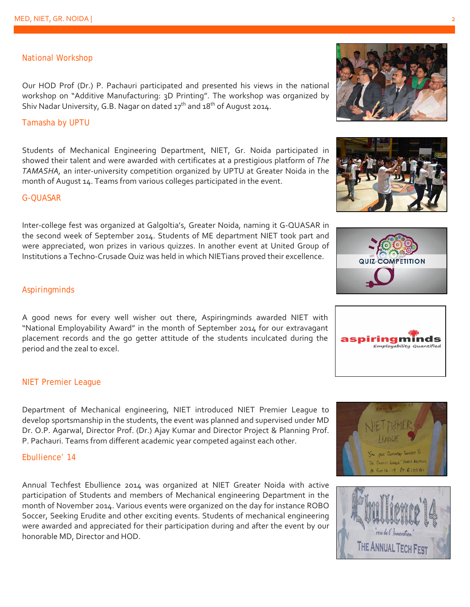#### National Workshop

Our HOD Prof (Dr.) P. Pachauri participated and presented his views in the national workshop on "Additive Manufacturing: 3D Printing". The workshop was organized by Shiv Nadar University, G.B. Nagar on dated  $17<sup>th</sup>$  and  $18<sup>th</sup>$  of August 2014.

#### Tamasha by UPTU

Students of Mechanical Engineering Department, NIET, Gr. Noida participated in showed their talent and were awarded with certificates at a prestigious platform of *The TAMASHA,* an inter‐university competition organized by UPTU at Greater Noida in the month of August 14. Teams from various colleges participated in the event.

#### G-QUASAR

Inter-college fest was organized at Galgoltia's, Greater Noida, naming it G-QUASAR in the second week of September 2014. Students of ME department NIET took part and were appreciated, won prizes in various quizzes. In another event at United Group of Institutions a Techno‐Crusade Quiz was held in which NIETians proved their excellence.

#### Aspiringminds

A good news for every well wisher out there, Aspiringminds awarded NIET with "National Employability Award" in the month of September 2014 for our extravagant placement records and the go getter attitude of the students inculcated during the period and the zeal to excel.

#### NIET Premier League

Department of Mechanical engineering, NIET introduced NIET Premier League to develop sportsmanship in the students, the event was planned and supervised under MD Dr. O.P. Agarwal, Director Prof. (Dr.) Ajay Kumar and Director Project & Planning Prof. P. Pachauri. Teams from different academic year competed against each other.

#### Ebullience' 14

Annual Techfest Ebullience 2014 was organized at NIET Greater Noida with active participation of Students and members of Mechanical engineering Department in the month of November 2014. Various events were organized on the day for instance ROBO Soccer, Seeking Erudite and other exciting events. Students of mechanical engineering were awarded and appreciated for their participation during and after the event by our honorable MD, Director and HOD.



ds

Employability Quantified

aspiringmi











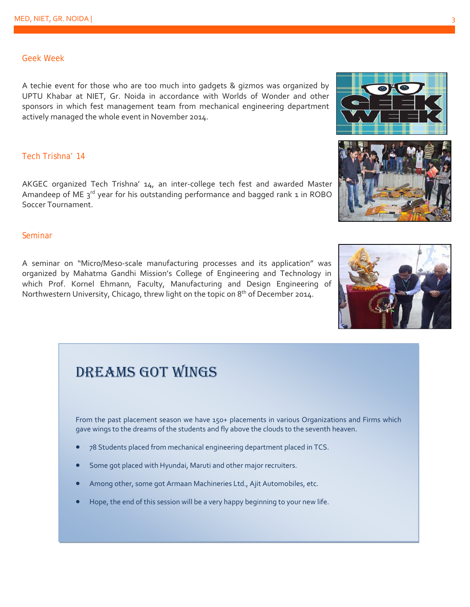#### Geek Week

A techie event for those who are too much into gadgets & gizmos was organized by UPTU Khabar at NIET, Gr. Noida in accordance with Worlds of Wonder and other sponsors in which fest management team from mechanical engineering department actively managed the whole event in November 2014.

#### Tech Trishna' 14

AKGEC organized Tech Trishna' 14, an inter‐college tech fest and awarded Master Amandeep of ME  $3^{rd}$  year for his outstanding performance and bagged rank 1 in ROBO Soccer Tournament.

#### Seminar

A seminar on "Micro/Meso‐scale manufacturing processes and its application" was organized by Mahatma Gandhi Mission's College of Engineering and Technology in which Prof. Kornel Ehmann, Faculty, Manufacturing and Design Engineering of Northwestern University, Chicago, threw light on the topic on 8<sup>th</sup> of December 2014.

## DREAMS GOT WINGS

From the past placement season we have 150+ placements in various Organizations and Firms which gave wings to the dreams of the students and fly above the clouds to the seventh heaven.

- 78 Students placed from mechanical engineering department placed in TCS.
- Some got placed with Hyundai, Maruti and other major recruiters.
- Among other, some got Armaan Machineries Ltd., Ajit Automobiles, etc.
- Hope, the end of this session will be a very happy beginning to your new life.